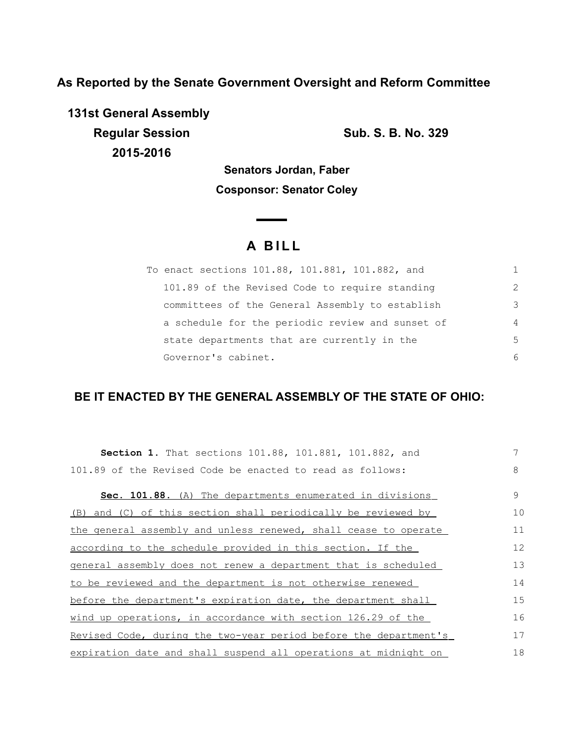**As Reported by the Senate Government Oversight and Reform Committee**

**131st General Assembly Regular Session Sub. S. B. No. 329 2015-2016**

**Senators Jordan, Faber Cosponsor: Senator Coley**

 $\overline{\phantom{a}}$ 

# **A B I L L**

| To enact sections 101.88, 101.881, 101.882, and  |                |
|--------------------------------------------------|----------------|
| 101.89 of the Revised Code to require standing   | $\mathcal{L}$  |
| committees of the General Assembly to establish  | 3              |
| a schedule for the periodic review and sunset of | $\overline{4}$ |
| state departments that are currently in the      | .5             |
| Governor's cabinet.                              | 6              |

## **BE IT ENACTED BY THE GENERAL ASSEMBLY OF THE STATE OF OHIO:**

| <b>Section 1.</b> That sections 101.88, 101.881, 101.882, and    | 7  |
|------------------------------------------------------------------|----|
| 101.89 of the Revised Code be enacted to read as follows:        | 8  |
| Sec. 101.88. (A) The departments enumerated in divisions         | 9  |
| (B) and (C) of this section shall periodically be reviewed by    | 10 |
| the general assembly and unless renewed, shall cease to operate  | 11 |
| according to the schedule provided in this section. If the       | 12 |
| general assembly does not renew a department that is scheduled   | 13 |
| to be reviewed and the department is not otherwise renewed       | 14 |
| before the department's expiration date, the department shall    | 15 |
| wind up operations, in accordance with section 126.29 of the     | 16 |
| Revised Code, during the two-year period before the department's | 17 |
| expiration date and shall suspend all operations at midnight on  | 18 |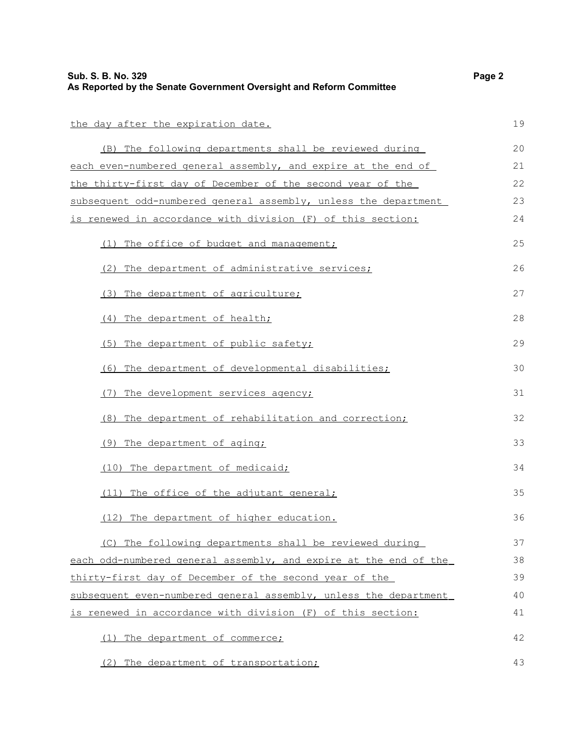| the day after the expiration date.                               | 19 |
|------------------------------------------------------------------|----|
| (B) The following departments shall be reviewed during           | 20 |
| each even-numbered general assembly, and expire at the end of    | 21 |
| the thirty-first day of December of the second year of the       | 22 |
| subsequent odd-numbered general assembly, unless the department  | 23 |
| is renewed in accordance with division (F) of this section:      | 24 |
| (1) The office of budget and management;                         | 25 |
| (2) The department of administrative services;                   | 26 |
| (3) The department of agriculture;                               | 27 |
| (4) The department of health;                                    | 28 |
| (5) The department of public safety;                             | 29 |
| (6) The department of developmental disabilities;                | 30 |
| (7) The development services agency;                             | 31 |
| (8) The department of rehabilitation and correction;             | 32 |
| (9) The department of aging;                                     | 33 |
| (10) The department of medicaid;                                 | 34 |
| (11) The office of the adjutant general;                         | 35 |
| (12) The department of higher education.                         | 36 |
| (C) The following departments shall be reviewed during           | 37 |
| each odd-numbered general assembly, and expire at the end of the | 38 |
| thirty-first day of December of the second year of the           | 39 |
| subsequent even-numbered general assembly, unless the department | 40 |
| is renewed in accordance with division (F) of this section:      | 41 |
| (1) The department of commerce;                                  | 42 |
| (2) The department of transportation;                            | 43 |

(2) The department of transportation;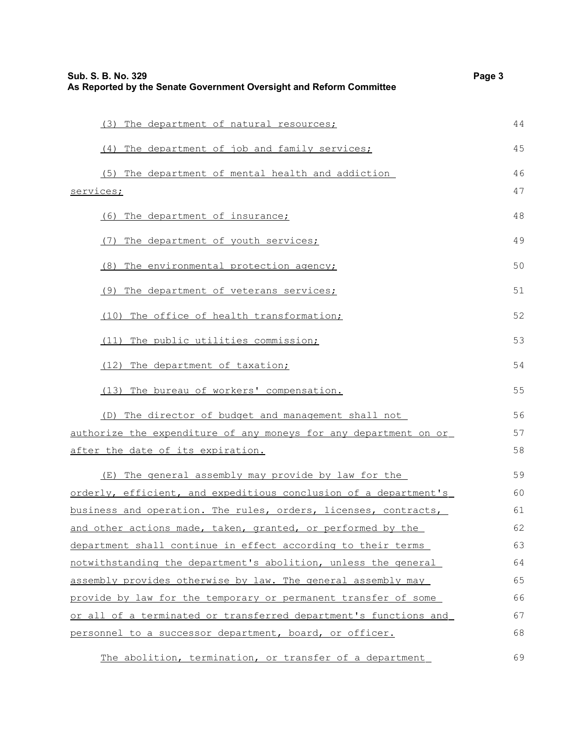| Sub. S. B. No. 329<br>As Reported by the Senate Government Oversight and Reform Committee | Page 3 |
|-------------------------------------------------------------------------------------------|--------|
|                                                                                           | 44     |
| (3) The department of natural resources;                                                  |        |
| (4) The department of job and family services;                                            | 45     |
| (5) The department of mental health and addiction                                         | 46     |
| services;                                                                                 | 47     |
| (6) The department of insurance;                                                          | 48     |
| (7) The department of youth services;                                                     | 49     |
| (8) The environmental protection agency;                                                  | 50     |
| (9)<br>The department of veterans services;                                               | 51     |
| The office of health transformation;<br>(10)                                              | 52     |
| (11) The public utilities commission;                                                     | 53     |
| (12) The department of taxation;                                                          | 54     |
| (13) The bureau of workers' compensation.                                                 | 55     |
| (D) The director of budget and management shall not                                       | 56     |
| authorize the expenditure of any moneys for any department on or                          | 57     |
| after the date of its expiration.                                                         | 58     |
| (E) The general assembly may provide by law for the                                       | 59     |
| orderly, efficient, and expeditious conclusion of a department's                          | 60     |
| business and operation. The rules, orders, licenses, contracts,                           | 61     |
| and other actions made, taken, granted, or performed by the                               | 62     |
| department shall continue in effect according to their terms                              | 63     |
| notwithstanding the department's abolition, unless the general                            | 64     |
| assembly provides otherwise by law. The general assembly may                              | 65     |
| provide by law for the temporary or permanent transfer of some                            | 66     |
| or all of a terminated or transferred department's functions and                          | 67     |
| personnel to a successor department, board, or officer.                                   | 68     |
| The abolition, termination, or transfer of a department                                   | 69     |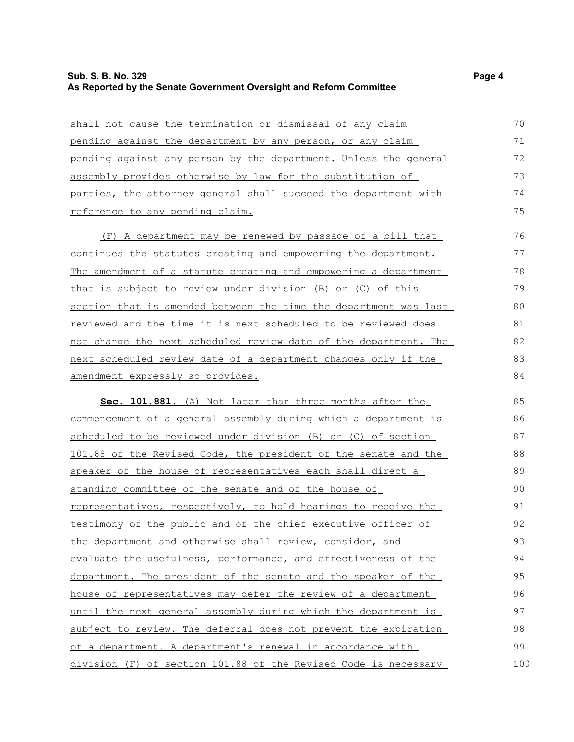### **Sub. S. B. No. 329 Page 4 As Reported by the Senate Government Oversight and Reform Committee**

| shall not cause the termination or dismissal of any claim                | 70  |
|--------------------------------------------------------------------------|-----|
| pending against the department by any person, or any claim               | 71  |
| pending against any person by the department. Unless the general         | 72  |
| assembly provides otherwise by law for the substitution of               | 73  |
| parties, the attorney general shall succeed the department with          | 74  |
| reference to any pending claim.                                          | 75  |
| (F) A department may be renewed by passage of a bill that                | 76  |
| continues the statutes creating and empowering the department.           | 77  |
| <u>The amendment of a statute creating and empowering a department</u>   | 78  |
| that is subject to review under division (B) or (C) of this              | 79  |
| <u>section that is amended between the time the department was last</u>  | 80  |
| reviewed and the time it is next scheduled to be reviewed does           | 81  |
| <u>not change the next scheduled review date of the department. The </u> | 82  |
| next scheduled review date of a department changes only if the           | 83  |
| amendment expressly so provides.                                         | 84  |
| Sec. 101.881. (A) Not later than three months after the                  | 85  |
| commencement of a general assembly during which a department is          | 86  |
| scheduled to be reviewed under division (B) or (C) of section            | 87  |
| 101.88 of the Revised Code, the president of the senate and the          | 88  |
| speaker of the house of representatives each shall direct a              | 89  |
| standing committee of the senate and of the house of                     | 90  |
| representatives, respectively, to hold hearings to receive the           | 91  |
| testimony of the public and of the chief executive officer of            | 92  |
| the department and otherwise shall review, consider, and                 | 93  |
| evaluate the usefulness, performance, and effectiveness of the           | 94  |
| department. The president of the senate and the speaker of the           | 95  |
| house of representatives may defer the review of a department            | 96  |
| until the next general assembly during which the department is           | 97  |
| subject to review. The deferral does not prevent the expiration          | 98  |
| of a department. A department's renewal in accordance with               | 99  |
| division (F) of section 101.88 of the Revised Code is necessary          | 100 |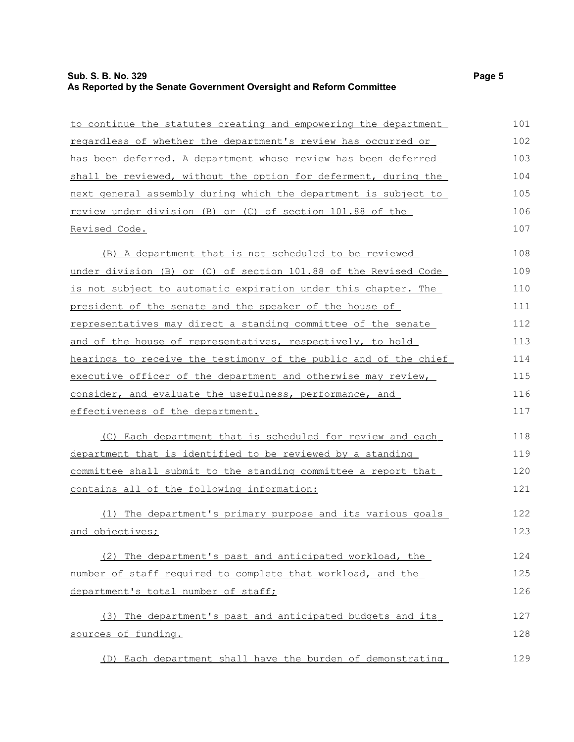## **Sub. S. B. No. 329 Page 5 As Reported by the Senate Government Oversight and Reform Committee**

| to continue the statutes creating and empowering the department  | 101 |
|------------------------------------------------------------------|-----|
| regardless of whether the department's review has occurred or    | 102 |
| has been deferred. A department whose review has been deferred   | 103 |
| shall be reviewed, without the option for deferment, during the  | 104 |
| next general assembly during which the department is subject to  | 105 |
| review under division (B) or (C) of section 101.88 of the        | 106 |
| <u>Revised Code.</u>                                             | 107 |
| (B) A department that is not scheduled to be reviewed            | 108 |
| under division (B) or (C) of section 101.88 of the Revised Code  | 109 |
| is not subject to automatic expiration under this chapter. The   | 110 |
| president of the senate and the speaker of the house of          | 111 |
| representatives may direct a standing committee of the senate    | 112 |
| and of the house of representatives, respectively, to hold       | 113 |
| hearings to receive the testimony of the public and of the chief | 114 |
| executive officer of the department and otherwise may review,    | 115 |
| consider, and evaluate the usefulness, performance, and          | 116 |
| effectiveness of the department.                                 | 117 |
| (C) Each department that is scheduled for review and each        | 118 |
| department that is identified to be reviewed by a standing       | 119 |
| committee shall submit to the standing committee a report that   | 120 |
| contains all of the following information:                       | 121 |
| (1) The department's primary purpose and its various goals       | 122 |
| and objectives;                                                  | 123 |
| (2) The department's past and anticipated workload, the          | 124 |
| number of staff required to complete that workload, and the      | 125 |
| department's total number of staff;                              | 126 |
| (3) The department's past and anticipated budgets and its        | 127 |
| sources of funding.                                              | 128 |
| (D) Each department shall have the burden of demonstrating       | 129 |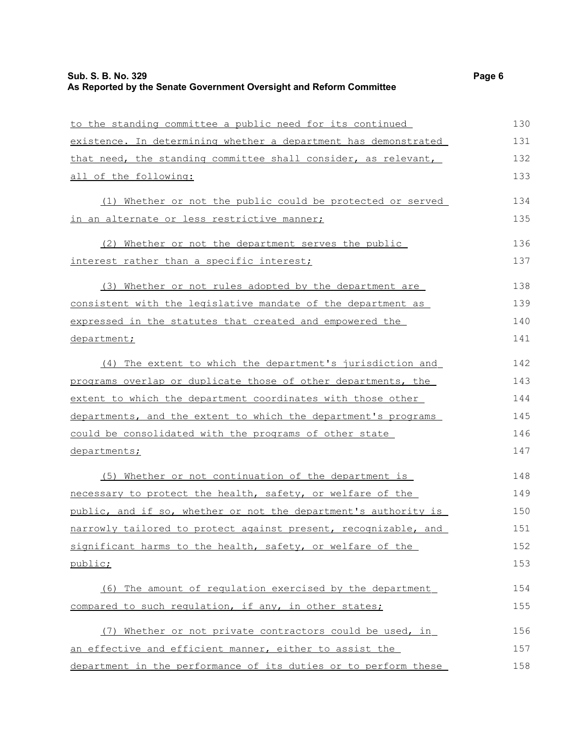### **Sub. S. B. No. 329 Page 6 As Reported by the Senate Government Oversight and Reform Committee**

| to the standing committee a public need for its continued       | 130 |
|-----------------------------------------------------------------|-----|
| existence. In determining whether a department has demonstrated | 131 |
| that need, the standing committee shall consider, as relevant,  | 132 |
| all of the following:                                           | 133 |
| (1) Whether or not the public could be protected or served      | 134 |
| in an alternate or less restrictive manner;                     | 135 |
| (2) Whether or not the department serves the public             | 136 |
| interest rather than a specific interest;                       | 137 |
| (3) Whether or not rules adopted by the department are          | 138 |
| consistent with the legislative mandate of the department as    | 139 |
| expressed in the statutes that created and empowered the        | 140 |
| department;                                                     | 141 |
| (4) The extent to which the department's jurisdiction and       | 142 |
| programs overlap or duplicate those of other departments, the   | 143 |
| extent to which the department coordinates with those other     | 144 |
| departments, and the extent to which the department's programs  | 145 |
| could be consolidated with the programs of other state          | 146 |
| departments;                                                    | 147 |
| (5) Whether or not continuation of the department is            | 148 |
| necessary to protect the health, safety, or welfare of the      | 149 |
| public, and if so, whether or not the department's authority is | 150 |
| narrowly tailored to protect against present, recognizable, and | 151 |
| significant harms to the health, safety, or welfare of the      | 152 |
| public;                                                         | 153 |
| (6) The amount of regulation exercised by the department        | 154 |
| compared to such requlation, if any, in other states;           | 155 |
| (7) Whether or not private contractors could be used, in        | 156 |
| an effective and efficient manner, either to assist the         | 157 |
| department in the performance of its duties or to perform these | 158 |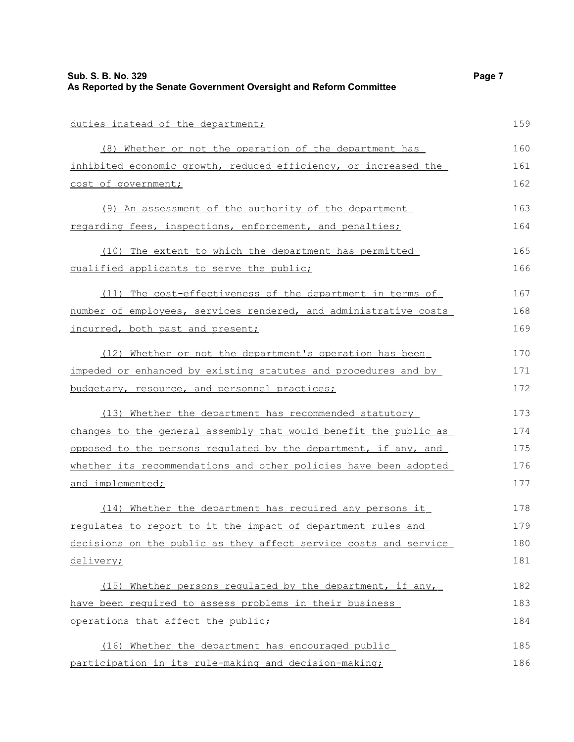| duties instead of the department;                                | 159 |
|------------------------------------------------------------------|-----|
| (8) Whether or not the operation of the department has           | 160 |
| inhibited economic growth, reduced efficiency, or increased the  | 161 |
| cost of government;                                              | 162 |
| (9) An assessment of the authority of the department             | 163 |
| regarding fees, inspections, enforcement, and penalties;         | 164 |
| (10) The extent to which the department has permitted            | 165 |
| qualified applicants to serve the public;                        | 166 |
| (11) The cost-effectiveness of the department in terms of        | 167 |
| number of employees, services rendered, and administrative costs | 168 |
| incurred, both past and present;                                 | 169 |
| (12) Whether or not the department's operation has been          | 170 |
| impeded or enhanced by existing statutes and procedures and by   | 171 |
| budgetary, resource, and personnel practices;                    | 172 |
| (13) Whether the department has recommended statutory            | 173 |
| changes to the general assembly that would benefit the public as | 174 |
| opposed to the persons regulated by the department, if any, and  | 175 |
| whether its recommendations and other policies have been adopted | 176 |
| and implemented;                                                 | 177 |
| (14) Whether the department has required any persons it          | 178 |
| requlates to report to it the impact of department rules and     | 179 |
| decisions on the public as they affect service costs and service | 180 |
| delivery;                                                        | 181 |
| (15) Whether persons regulated by the department, if any,        | 182 |
| have been required to assess problems in their business          | 183 |
| operations that affect the public;                               | 184 |
| (16) Whether the department has encouraged public                | 185 |
| participation in its rule-making and decision-making;            | 186 |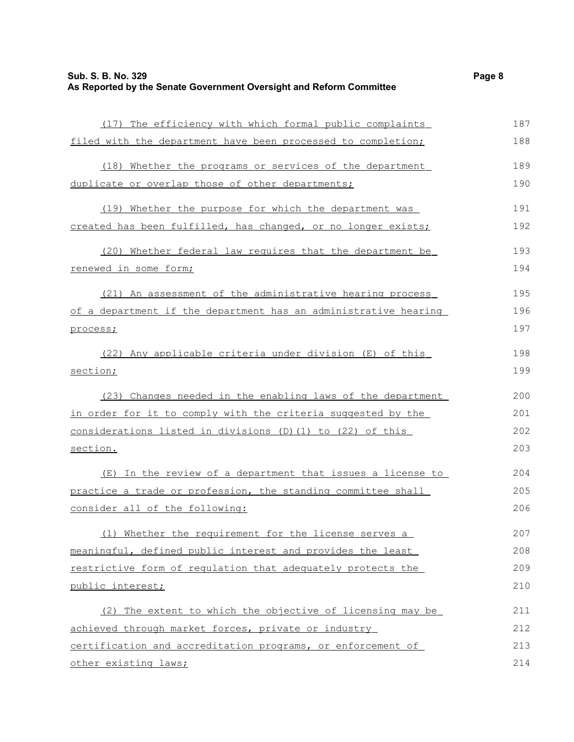| (17) The efficiency with which formal public complaints         | 187 |
|-----------------------------------------------------------------|-----|
| filed with the department have been processed to completion;    | 188 |
| (18) Whether the programs or services of the department         | 189 |
| duplicate or overlap those of other departments;                | 190 |
| (19) Whether the purpose for which the department was           | 191 |
| created has been fulfilled, has changed, or no longer exists;   | 192 |
| (20) Whether federal law requires that the department be        | 193 |
| renewed in some form;                                           | 194 |
| (21) An assessment of the administrative hearing process        | 195 |
| of a department if the department has an administrative hearing | 196 |
| process;                                                        | 197 |
| (22) Any applicable criteria under division (E) of this         | 198 |
| section;                                                        | 199 |
| (23) Changes needed in the enabling laws of the department      | 200 |
| in order for it to comply with the criteria suggested by the    | 201 |
| considerations listed in divisions (D) (1) to (22) of this      | 202 |
| section.                                                        | 203 |
| (E) In the review of a department that issues a license to      | 204 |
| practice a trade or profession, the standing committee shall    | 205 |
| consider all of the following:                                  | 206 |
| (1) Whether the requirement for the license serves a            | 207 |
| meaningful, defined public interest and provides the least      | 208 |
| restrictive form of regulation that adequately protects the     | 209 |
| public interest;                                                | 210 |
| (2) The extent to which the objective of licensing may be       | 211 |
| achieved through market forces, private or industry             | 212 |
| certification and accreditation programs, or enforcement of     | 213 |
| other existing laws;                                            | 214 |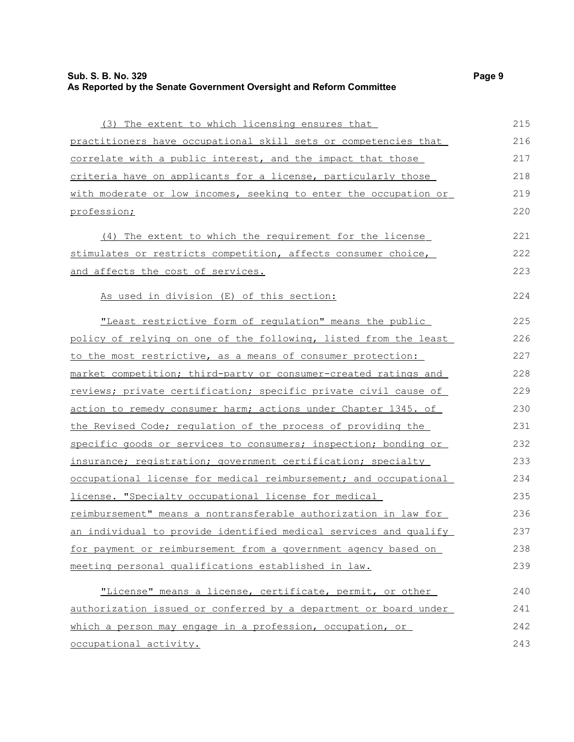#### **Sub. S. B. No. 329 Page 9 As Reported by the Senate Government Oversight and Reform Committee**

( 3) The extent to which licensing ensures that p ractitioners have occupational skill sets or competencies that correlate with a public interest, and the impact that those criteria have on applicants for a license, particularly those with moderate or low incomes, seeking to enter the occupation or p rofession; ( 4) The extent to which the requirement for the license stimulates or restricts competition, affects consumer choice, and affects the cost of services. As used in division (E) of this section: "Least restrictive form of regulation" means the public policy of relying on one of the following, listed from the least to the most restrictive, as a means of consumer protection: market competition; third-party or consumer-created ratings and reviews; private certification; specific private civil cause of action to remedy consumer harm; actions under Chapter 1345. of the Revised Code; regulation of the process of providing the specific goods or services to consumers; inspection; bonding or insurance; registration; government certification; specialty occupational license for medical reimbursement; and occupational license. "Specialty occupational license for medical reimbursement" means a nontransferable authorization in law for an individual to provide identified medical services and qualify for payment or reimbursement from a government agency based on meeting personal qualifications established in law. 215 216 217 218 219 220 221 222 223 224 225 226 227 228 229 230 231 232 233 234 235 236 237 238 239

"License" means a license, certificate, permit, or other authorization issued or conferred by a department or board under which a person may engage in a profession, occupation, or occupational activity. 240 241 242 243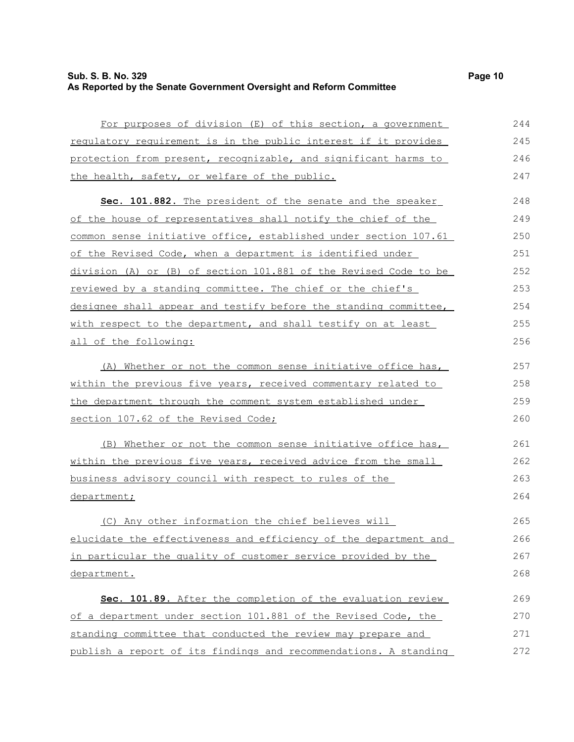## **Sub. S. B. No. 329 Page 10 As Reported by the Senate Government Oversight and Reform Committee**

| For purposes of division (E) of this section, a government       | 244 |
|------------------------------------------------------------------|-----|
| requlatory requirement is in the public interest if it provides  | 245 |
| protection from present, recognizable, and significant harms to  | 246 |
| the health, safety, or welfare of the public.                    | 247 |
| Sec. 101.882. The president of the senate and the speaker        | 248 |
| of the house of representatives shall notify the chief of the    | 249 |
| common sense initiative office, established under section 107.61 | 250 |
| of the Revised Code, when a department is identified under       | 251 |
| division (A) or (B) of section 101.881 of the Revised Code to be | 252 |
| reviewed by a standing committee. The chief or the chief's       | 253 |
| designee shall appear and testify before the standing committee, | 254 |
| with respect to the department, and shall testify on at least    | 255 |
| all of the following:                                            | 256 |
| (A) Whether or not the common sense initiative office has,       | 257 |
| within the previous five years, received commentary related to   | 258 |
| the department through the comment system established under      | 259 |
| section 107.62 of the Revised Code;                              | 260 |
| (B) Whether or not the common sense initiative office has,       | 261 |
| within the previous five years, received advice from the small   | 262 |
| business advisory council with respect to rules of the           | 263 |
| department;                                                      | 264 |
| (C) Any other information the chief believes will                | 265 |
| elucidate the effectiveness and efficiency of the department and | 266 |
| in particular the quality of customer service provided by the    | 267 |
| department.                                                      | 268 |
| Sec. 101.89. After the completion of the evaluation review       | 269 |
| of a department under section 101.881 of the Revised Code, the   | 270 |
| standing committee that conducted the review may prepare and     | 271 |
| publish a report of its findings and recommendations. A standing | 272 |